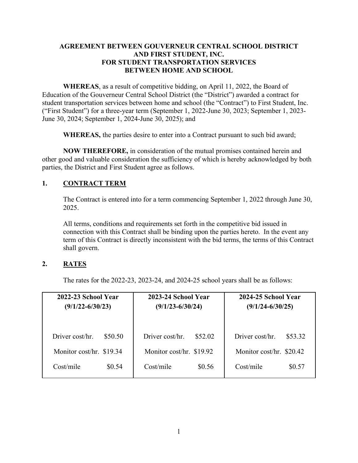#### **AGREEMENT BETWEEN GOUVERNEUR CENTRAL SCHOOL DISTRICT AND FIRST STUDENT, INC. FOR STUDENT TRANSPORTATION SERVICES BETWEEN HOME AND SCHOOL**

**WHEREAS**, as a result of competitive bidding, on April 11, 2022, the Board of Education of the Gouverneur Central School District (the "District") awarded a contract for student transportation services between home and school (the "Contract") to First Student, Inc. ("First Student") for a three-year term (September 1, 2022-June 30, 2023; September 1, 2023- June 30, 2024; September 1, 2024-June 30, 2025); and

**WHEREAS,** the parties desire to enter into a Contract pursuant to such bid award;

**NOW THEREFORE,** in consideration of the mutual promises contained herein and other good and valuable consideration the sufficiency of which is hereby acknowledged by both parties, the District and First Student agree as follows.

## **1. CONTRACT TERM**

The Contract is entered into for a term commencing September 1, 2022 through June 30, 2025.

All terms, conditions and requirements set forth in the competitive bid issued in connection with this Contract shall be binding upon the parties hereto. In the event any term of this Contract is directly inconsistent with the bid terms, the terms of this Contract shall govern.

# **2. RATES**

The rates for the 2022-23, 2023-24, and 2024-25 school years shall be as follows:

| 2022-23 School Year      | 2023-24 School Year      | 2024-25 School Year      |
|--------------------------|--------------------------|--------------------------|
| $(9/1/22 - 6/30/23)$     | $(9/1/23 - 6/30/24)$     | $(9/1/24 - 6/30/25)$     |
| Driver cost/hr.          | Driver cost/hr.          | Driver cost/hr.          |
| \$50.50                  | \$52.02                  | \$53.32                  |
| Monitor cost/hr. \$19.34 | Monitor cost/hr. \$19.92 | Monitor cost/hr. \$20.42 |
| Cost/mile                | Cost/mile                | Cost/mile                |
| \$0.54                   | \$0.56                   | \$0.57                   |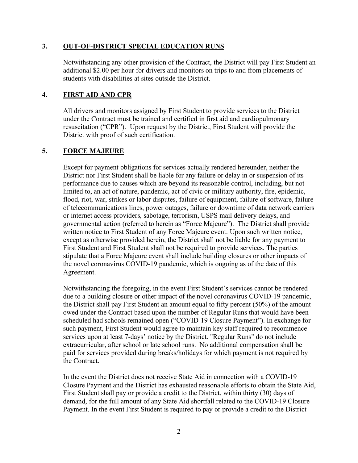#### **3. OUT-OF-DISTRICT SPECIAL EDUCATION RUNS**

Notwithstanding any other provision of the Contract, the District will pay First Student an additional \$2.00 per hour for drivers and monitors on trips to and from placements of students with disabilities at sites outside the District.

#### **4. FIRST AID AND CPR**

All drivers and monitors assigned by First Student to provide services to the District under the Contract must be trained and certified in first aid and cardiopulmonary resuscitation ("CPR"). Upon request by the District, First Student will provide the District with proof of such certification.

## **5. FORCE MAJEURE**

Except for payment obligations for services actually rendered hereunder, neither the District nor First Student shall be liable for any failure or delay in or suspension of its performance due to causes which are beyond its reasonable control, including, but not limited to, an act of nature, pandemic, act of civic or military authority, fire, epidemic, flood, riot, war, strikes or labor disputes, failure of equipment, failure of software, failure of telecommunications lines, power outages, failure or downtime of data network carriers or internet access providers, sabotage, terrorism, USPS mail delivery delays, and governmental action (referred to herein as "Force Majeure"). The District shall provide written notice to First Student of any Force Majeure event. Upon such written notice, except as otherwise provided herein, the District shall not be liable for any payment to First Student and First Student shall not be required to provide services. The parties stipulate that a Force Majeure event shall include building closures or other impacts of the novel coronavirus COVID-19 pandemic, which is ongoing as of the date of this Agreement.

Notwithstanding the foregoing, in the event First Student's services cannot be rendered due to a building closure or other impact of the novel coronavirus COVID-19 pandemic, the District shall pay First Student an amount equal to fifty percent (50%) of the amount owed under the Contract based upon the number of Regular Runs that would have been scheduled had schools remained open ("COVID-19 Closure Payment"). In exchange for such payment, First Student would agree to maintain key staff required to recommence services upon at least 7-days' notice by the District. "Regular Runs" do not include extracurricular, after school or late school runs. No additional compensation shall be paid for services provided during breaks/holidays for which payment is not required by the Contract.

In the event the District does not receive State Aid in connection with a COVID-19 Closure Payment and the District has exhausted reasonable efforts to obtain the State Aid, First Student shall pay or provide a credit to the District, within thirty (30) days of demand, for the full amount of any State Aid shortfall related to the COVID-19 Closure Payment. In the event First Student is required to pay or provide a credit to the District